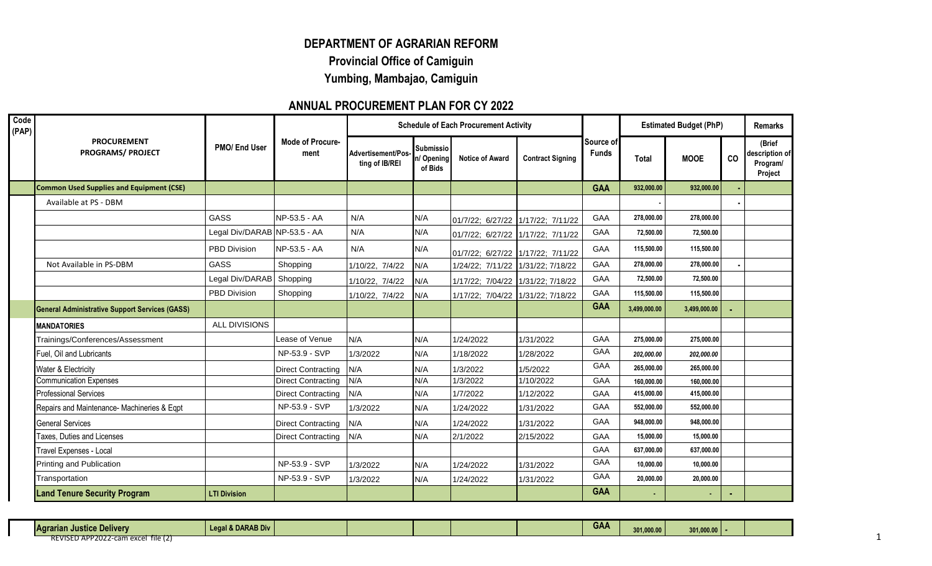## **DEPARTMENT OF AGRARIAN REFORM Provincial Office of Camiguin Yumbing, Mambajao, Camiguin**

## **ANNUAL PROCUREMENT PLAN FOR CY 2022**

| Code<br>(PAP) |                                                       |                              |                                 |                                      | <b>Estimated Budget (PhP)</b><br><b>Schedule of Each Procurement Activity</b> |                                   | <b>Total</b><br>932,000.00<br>278,000.00<br>72,500.00<br>115,500.00<br>278,000.00<br>72,500.00<br>115,500.00<br>3,499,000.00<br>275,000.00<br>202,000.00<br>265,000.00 |                                    |            | <b>Remarks</b> |    |                                                 |
|---------------|-------------------------------------------------------|------------------------------|---------------------------------|--------------------------------------|-------------------------------------------------------------------------------|-----------------------------------|------------------------------------------------------------------------------------------------------------------------------------------------------------------------|------------------------------------|------------|----------------|----|-------------------------------------------------|
|               | <b>PROCUREMENT</b><br><b>PROGRAMS/ PROJECT</b>        | PMO/ End User                | <b>Mode of Procure-</b><br>ment | Advertisement/Pos-<br>ting of IB/REI | <b>Submissio</b><br>n/Opening<br>of Bids                                      | <b>Notice of Award</b>            | <b>Contract Signing</b>                                                                                                                                                | <b>Source of l</b><br><b>Funds</b> |            | <b>MOOE</b>    | CO | (Brief<br>description of<br>Program/<br>Project |
|               | <b>Common Used Supplies and Equipment (CSE)</b>       |                              |                                 |                                      |                                                                               |                                   |                                                                                                                                                                        | <b>GAA</b>                         |            | 932,000.00     |    |                                                 |
|               | Available at PS - DBM                                 |                              |                                 |                                      |                                                                               |                                   |                                                                                                                                                                        |                                    |            |                |    |                                                 |
|               |                                                       | GASS                         | NP-53.5 - AA                    | N/A                                  | N/A                                                                           | 01/7/22; 6/27/22 1/17/22; 7/11/22 |                                                                                                                                                                        | <b>GAA</b>                         |            | 278,000.00     |    |                                                 |
|               |                                                       | Legal Div/DARAB NP-53.5 - AA |                                 | N/A                                  | N/A                                                                           | 01/7/22; 6/27/22 1/17/22; 7/11/22 |                                                                                                                                                                        | <b>GAA</b>                         |            | 72.500.00      |    |                                                 |
|               |                                                       | PBD Division                 | NP-53.5 - AA                    | N/A                                  | N/A                                                                           | 01/7/22; 6/27/22 1/17/22; 7/11/22 |                                                                                                                                                                        | GAA                                |            | 115,500.00     |    |                                                 |
|               | Not Available in PS-DBM                               | <b>GASS</b>                  | Shopping                        | 1/10/22, 7/4/22                      | N/A                                                                           | 1/24/22; 7/11/22 1/31/22; 7/18/22 |                                                                                                                                                                        | <b>GAA</b>                         |            | 278,000.00     |    |                                                 |
|               |                                                       | Legal Div/DARAB              | Shopping                        | 1/10/22, 7/4/22                      | N/A                                                                           | 1/17/22; 7/04/22 1/31/22; 7/18/22 |                                                                                                                                                                        | GAA                                |            | 72,500.00      |    |                                                 |
|               |                                                       | <b>PBD Division</b>          | Shopping                        | 1/10/22, 7/4/22                      | N/A                                                                           | 1/17/22; 7/04/22 1/31/22; 7/18/22 |                                                                                                                                                                        | GAA                                |            | 115,500.00     |    |                                                 |
|               | <b>General Administrative Support Services (GASS)</b> |                              |                                 |                                      |                                                                               |                                   |                                                                                                                                                                        | <b>GAA</b>                         |            | 3,499,000.00   |    |                                                 |
|               | <b>MANDATORIES</b>                                    | ALL DIVISIONS                |                                 |                                      |                                                                               |                                   |                                                                                                                                                                        |                                    |            |                |    |                                                 |
|               | Trainings/Conferences/Assessment                      |                              | Lease of Venue                  | N/A                                  | N/A                                                                           | 1/24/2022                         | 1/31/2022                                                                                                                                                              | GAA                                |            | 275,000.00     |    |                                                 |
|               | Fuel, Oil and Lubricants                              |                              | NP-53.9 - SVP                   | 1/3/2022                             | N/A                                                                           | 1/18/2022                         | 1/28/2022                                                                                                                                                              | GAA                                |            | 202,000.00     |    |                                                 |
|               | Water & Electricity                                   |                              | <b>Direct Contracting</b>       | N/A                                  | N/A                                                                           | 1/3/2022                          | 1/5/2022                                                                                                                                                               | GAA                                |            | 265,000.00     |    |                                                 |
|               | <b>Communication Expenses</b>                         |                              | <b>Direct Contracting</b>       | N/A                                  | N/A                                                                           | 1/3/2022                          | 1/10/2022                                                                                                                                                              | GAA                                | 160.000.00 | 160,000.00     |    |                                                 |
|               | <b>Professional Services</b>                          |                              | <b>Direct Contracting</b>       | N/A                                  | N/A                                                                           | 1/7/2022                          | 1/12/2022                                                                                                                                                              | GAA                                | 415,000.00 | 415,000.00     |    |                                                 |
|               | Repairs and Maintenance- Machineries & Eqpt           |                              | NP-53.9 - SVP                   | 1/3/2022                             | N/A                                                                           | 1/24/2022                         | 1/31/2022                                                                                                                                                              | <b>GAA</b>                         | 552,000.00 | 552,000.00     |    |                                                 |
|               | <b>General Services</b>                               |                              | <b>Direct Contracting</b>       | N/A                                  | N/A                                                                           | 1/24/2022                         | 1/31/2022                                                                                                                                                              | <b>GAA</b>                         | 948,000.00 | 948.000.00     |    |                                                 |
|               | Taxes, Duties and Licenses                            |                              | <b>Direct Contracting</b>       | N/A                                  | N/A                                                                           | 2/1/2022                          | 2/15/2022                                                                                                                                                              | <b>GAA</b>                         | 15,000.00  | 15.000.00      |    |                                                 |
|               | Travel Expenses - Local                               |                              |                                 |                                      |                                                                               |                                   |                                                                                                                                                                        | GAA                                | 637,000.00 | 637,000.00     |    |                                                 |
|               | Printing and Publication                              |                              | NP-53.9 - SVP                   | 1/3/2022                             | N/A                                                                           | 1/24/2022                         | 1/31/2022                                                                                                                                                              | <b>GAA</b>                         | 10,000.00  | 10,000.00      |    |                                                 |
|               | Transportation                                        |                              | NP-53.9 - SVP                   | 1/3/2022                             | N/A                                                                           | 1/24/2022                         | 1/31/2022                                                                                                                                                              | <b>GAA</b>                         | 20,000.00  | 20,000.00      |    |                                                 |
|               | <b>Land Tenure Security Program</b>                   | <b>LTI Division</b>          |                                 |                                      |                                                                               |                                   |                                                                                                                                                                        | <b>GAA</b>                         |            |                |    |                                                 |

|  |  | <b>Agrarian</b><br>. Justice Deliver∨ | al & DARAB Div |  |  |  |  |  | <b>GAA</b> | 301,000.00 | 301,000,00<br><b>UVI, VUV. VV</b> |  |  |
|--|--|---------------------------------------|----------------|--|--|--|--|--|------------|------------|-----------------------------------|--|--|
|--|--|---------------------------------------|----------------|--|--|--|--|--|------------|------------|-----------------------------------|--|--|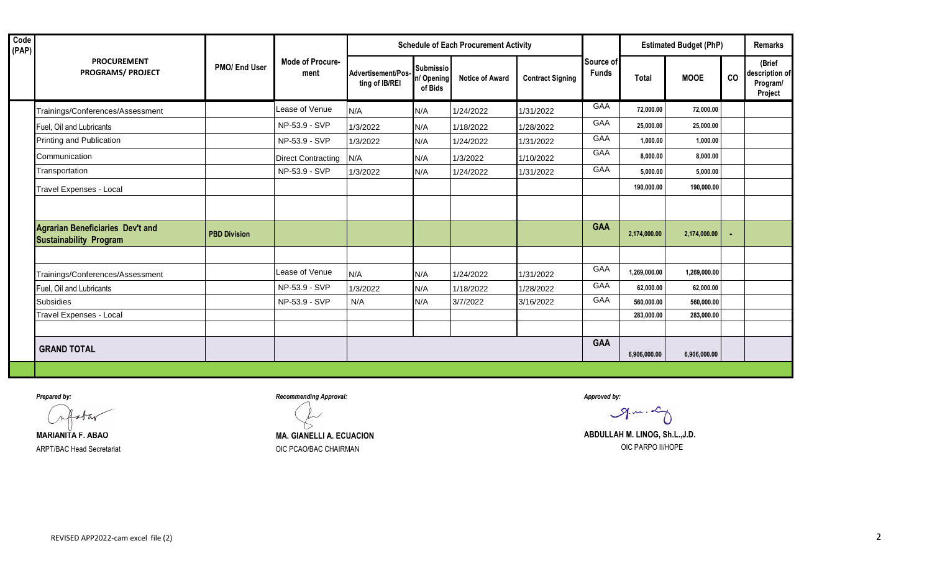|                                                                   |                     |                                 |                                      |                                           | <b>Schedule of Each Procurement Activity</b> |                         |                           |              | <b>Estimated Budget (PhP)</b> |    | <b>Remarks</b>                                  |
|-------------------------------------------------------------------|---------------------|---------------------------------|--------------------------------------|-------------------------------------------|----------------------------------------------|-------------------------|---------------------------|--------------|-------------------------------|----|-------------------------------------------------|
| <b>PROCUREMENT</b><br><b>PROGRAMS/ PROJECT</b>                    | PMO/ End User       | <b>Mode of Procure-</b><br>ment | Advertisement/Pos-<br>ting of IB/REI | <b>Submissio</b><br>n/ Opening<br>of Bids | <b>Notice of Award</b>                       | <b>Contract Signing</b> | Source of<br><b>Funds</b> | <b>Total</b> | <b>MOOE</b>                   | CO | (Brief<br>description of<br>Program/<br>Project |
| Trainings/Conferences/Assessment                                  |                     | Lease of Venue                  | N/A                                  | N/A                                       | 1/24/2022                                    | 1/31/2022               | GAA                       | 72,000.00    | 72,000.00                     |    |                                                 |
| Fuel, Oil and Lubricants                                          |                     | NP-53.9 - SVP                   | 1/3/2022                             | N/A                                       | 1/18/2022                                    | 1/28/2022               | GAA                       | 25,000.00    | 25,000.00                     |    |                                                 |
| Printing and Publication                                          |                     | NP-53.9 - SVP                   | 1/3/2022                             | N/A                                       | 1/24/2022                                    | 1/31/2022               | GAA                       | 1,000.00     | 1,000.00                      |    |                                                 |
| Communication                                                     |                     | <b>Direct Contracting</b>       | N/A                                  | N/A                                       | 1/3/2022                                     | 1/10/2022               | GAA                       | 8,000.00     | 8,000.00                      |    |                                                 |
| Transportation                                                    |                     | NP-53.9 - SVP                   | 1/3/2022                             | N/A                                       | 1/24/2022                                    | 1/31/2022               | <b>GAA</b>                | 5,000.00     | 5,000.00                      |    |                                                 |
| Travel Expenses - Local                                           |                     |                                 |                                      |                                           |                                              |                         |                           | 190,000.00   | 190,000.00                    |    |                                                 |
|                                                                   |                     |                                 |                                      |                                           |                                              |                         |                           |              |                               |    |                                                 |
| Agrarian Beneficiaries Dev't and<br><b>Sustainability Program</b> | <b>PBD Division</b> |                                 |                                      |                                           |                                              |                         | <b>GAA</b>                | 2,174,000.00 | 2,174,000.00                  |    |                                                 |
|                                                                   |                     |                                 |                                      |                                           |                                              |                         |                           |              |                               |    |                                                 |
| Trainings/Conferences/Assessment                                  |                     | Lease of Venue                  | N/A                                  | N/A                                       | 1/24/2022                                    | 1/31/2022               | GAA                       | 1,269,000.00 | 1,269,000.00                  |    |                                                 |
| Fuel, Oil and Lubricants                                          |                     | NP-53.9 - SVP                   | 1/3/2022                             | N/A                                       | 1/18/2022                                    | 1/28/2022               | <b>GAA</b>                | 62,000.00    | 62,000.00                     |    |                                                 |
| <b>Subsidies</b>                                                  |                     | NP-53.9 - SVP                   | N/A                                  | N/A                                       | 3/7/2022                                     | 3/16/2022               | <b>GAA</b>                | 560,000.00   | 560,000.00                    |    |                                                 |
| Travel Expenses - Local                                           |                     |                                 |                                      |                                           |                                              |                         |                           | 283,000.00   | 283,000.00                    |    |                                                 |
|                                                                   |                     |                                 |                                      |                                           |                                              |                         |                           |              |                               |    |                                                 |
| <b>GRAND TOTAL</b>                                                |                     |                                 |                                      |                                           |                                              |                         | <b>GAA</b>                | 6,906,000.00 | 6,906,000.00                  |    |                                                 |

star

*Prepared by: Recommending Approval: Approved by:*

 $9 - 2$ 

**MARIANITA F. ABAO MA. GIANELLI A. ECUACION MA. GIANELLI A. ECUACION ABDULLAH M. LINOG, Sh.L.,J.D.** ARPT/BAC Head Secretariat **Example 2018** OIC PCAO/BAC CHAIRMAN **OIC POO CONTABLE 2018** OIC PARPO II/HOPE